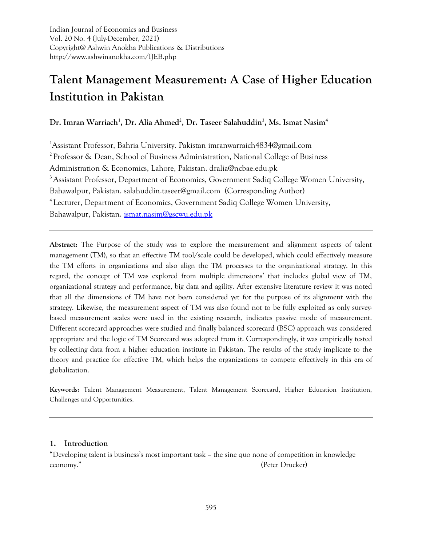Indian Journal of Economics and Business Vol. 20 No. 4 (July-December, 2021) Copyright@ Ashwin Anokha Publications & Distributions http://www.ashwinanokha.com/IJEB.php

# **Talent Management Measurement: A Case of Higher Education Institution in Pakistan**

**Dr. Imran Warriach<sup>1</sup> , Dr. Alia Ahmed<sup>2</sup> , Dr. Taseer Salahuddin<sup>3</sup> , Ms. Ismat Nasim<sup>4</sup>**

<sup>1</sup>Assistant Professor, Bahria University. Pakistan imranwarraich4834@gmail.com <sup>2</sup> Professor & Dean, School of Business Administration, National College of Business Administration & Economics, Lahore, Pakistan. dralia@ncbae.edu.pk <sup>3</sup> Assistant Professor, Department of Economics, Government Sadiq College Women University, Bahawalpur, Pakistan. salahuddin.taseer@gmail.com (Corresponding Author) <sup>4</sup> Lecturer, Department of Economics, Government Sadiq College Women University, Bahawalpur, Pakistan. [ismat.nasim@gscwu.edu.pk](mailto:ismat.nasim@gscwu.edu.pk)

**Abstract:** The Purpose of the study was to explore the measurement and alignment aspects of talent management (TM), so that an effective TM tool/scale could be developed, which could effectively measure the TM efforts in organizations and also align the TM processes to the organizational strategy. In this regard, the concept of TM was explored from multiple dimensions' that includes global view of TM, organizational strategy and performance, big data and agility. After extensive literature review it was noted that all the dimensions of TM have not been considered yet for the purpose of its alignment with the strategy. Likewise, the measurement aspect of TM was also found not to be fully exploited as only surveybased measurement scales were used in the existing research, indicates passive mode of measurement. Different scorecard approaches were studied and finally balanced scorecard (BSC) approach was considered appropriate and the logic of TM Scorecard was adopted from it. Correspondingly, it was empirically tested by collecting data from a higher education institute in Pakistan. The results of the study implicate to the theory and practice for effective TM, which helps the organizations to compete effectively in this era of globalization.

**Keywords:** Talent Management Measurement, Talent Management Scorecard, Higher Education Institution, Challenges and Opportunities.

## **1. Introduction**

"Developing talent is business's most important task – the sine quo none of competition in knowledge economy." (Peter Drucker)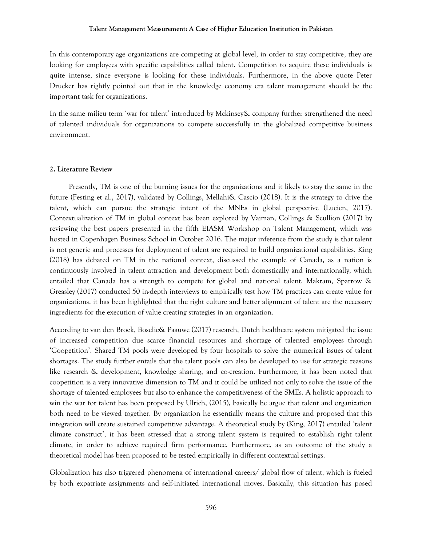In this contemporary age organizations are competing at global level, in order to stay competitive, they are looking for employees with specific capabilities called talent. Competition to acquire these individuals is quite intense, since everyone is looking for these individuals. Furthermore, in the above quote Peter Drucker has rightly pointed out that in the knowledge economy era talent management should be the important task for organizations.

In the same milieu term 'war for talent' introduced by Mckinsey& company further strengthened the need of talented individuals for organizations to compete successfully in the globalized competitive business environment.

#### **2. Literature Review**

 Presently, TM is one of the burning issues for the organizations and it likely to stay the same in the future (Festing et al., 2017), validated by Collings, Mellahi& Cascio (2018). It is the strategy to drive the talent, which can pursue the strategic intent of the MNEs in global perspective (Lucien, 2017). Contextualization of TM in global context has been explored by Vaiman, Collings & Scullion (2017) by reviewing the best papers presented in the fifth EIASM Workshop on Talent Management, which was hosted in Copenhagen Business School in October 2016. The major inference from the study is that talent is not generic and processes for deployment of talent are required to build organizational capabilities. King (2018) has debated on TM in the national context, discussed the example of Canada, as a nation is continuously involved in talent attraction and development both domestically and internationally, which entailed that Canada has a strength to compete for global and national talent. Makram, Sparrow & Greasley (2017) conducted 50 in-depth interviews to empirically test how TM practices can create value for organizations. it has been highlighted that the right culture and better alignment of talent are the necessary ingredients for the execution of value creating strategies in an organization.

According to van den Broek, Boselie& Paauwe (2017) research, Dutch healthcare system mitigated the issue of increased competition due scarce financial resources and shortage of talented employees through 'Coopetition'. Shared TM pools were developed by four hospitals to solve the numerical issues of talent shortages. The study further entails that the talent pools can also be developed to use for strategic reasons like research & development, knowledge sharing, and co-creation. Furthermore, it has been noted that coopetition is a very innovative dimension to TM and it could be utilized not only to solve the issue of the shortage of talented employees but also to enhance the competitiveness of the SMEs. A holistic approach to win the war for talent has been proposed by Ulrich, (2015), basically he argue that talent and organization both need to be viewed together. By organization he essentially means the culture and proposed that this integration will create sustained competitive advantage. A theoretical study by (King, 2017) entailed 'talent climate construct', it has been stressed that a strong talent system is required to establish right talent climate, in order to achieve required firm performance. Furthermore, as an outcome of the study a theoretical model has been proposed to be tested empirically in different contextual settings.

Globalization has also triggered phenomena of international careers/ global flow of talent, which is fueled by both expatriate assignments and self-initiated international moves. Basically, this situation has posed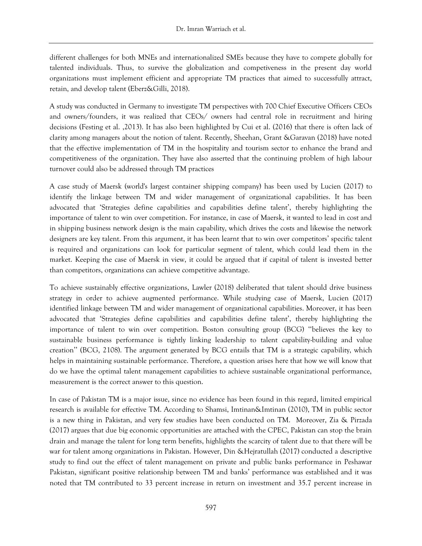different challenges for both MNEs and internationalized SMEs because they have to compete globally for talented individuals. Thus, to survive the globalization and competiveness in the present day world organizations must implement efficient and appropriate TM practices that aimed to successfully attract, retain, and develop talent (Eberz&Gilli, 2018).

A study was conducted in Germany to investigate TM perspectives with 700 Chief Executive Officers CEOs and owners/founders, it was realized that CEOs/ owners had central role in recruitment and hiring decisions (Festing et al. ,2013). It has also been highlighted by Cui et al. (2016) that there is often lack of clarity among managers about the notion of talent. Recently, Sheehan, Grant &Garavan (2018) have noted that the effective implementation of TM in the hospitality and tourism sector to enhance the brand and competitiveness of the organization. They have also asserted that the continuing problem of high labour turnover could also be addressed through TM practices

A case study of Maersk (world's largest container shipping company) has been used by Lucien (2017) to identify the linkage between TM and wider management of organizational capabilities. It has been advocated that 'Strategies define capabilities and capabilities define talent', thereby highlighting the importance of talent to win over competition. For instance, in case of Maersk, it wanted to lead in cost and in shipping business network design is the main capability, which drives the costs and likewise the network designers are key talent. From this argument, it has been learnt that to win over competitors' specific talent is required and organizations can look for particular segment of talent, which could lead them in the market. Keeping the case of Maersk in view, it could be argued that if capital of talent is invested better than competitors, organizations can achieve competitive advantage.

To achieve sustainably effective organizations, Lawler (2018) deliberated that talent should drive business strategy in order to achieve augmented performance. While studying case of Maersk, Lucien (2017) identified linkage between TM and wider management of organizational capabilities. Moreover, it has been advocated that 'Strategies define capabilities and capabilities define talent', thereby highlighting the importance of talent to win over competition. Boston consulting group (BCG) ''believes the key to sustainable business performance is tightly linking leadership to talent capability-building and value creation'' (BCG, 2108). The argument generated by BCG entails that TM is a strategic capability, which helps in maintaining sustainable performance. Therefore, a question arises here that how we will know that do we have the optimal talent management capabilities to achieve sustainable organizational performance, measurement is the correct answer to this question.

In case of Pakistan TM is a major issue, since no evidence has been found in this regard, limited empirical research is available for effective TM. According to Shamsi, Imtinan&Imtinan (2010), TM in public sector is a new thing in Pakistan, and very few studies have been conducted on TM. Moreover, Zia & Pirzada (2017) argues that due big economic opportunities are attached with the CPEC, Pakistan can stop the brain drain and manage the talent for long term benefits, highlights the scarcity of talent due to that there will be war for talent among organizations in Pakistan. However, Din &Hejratullah (2017) conducted a descriptive study to find out the effect of talent management on private and public banks performance in Peshawar Pakistan, significant positive relationship between TM and banks' performance was established and it was noted that TM contributed to 33 percent increase in return on investment and 35.7 percent increase in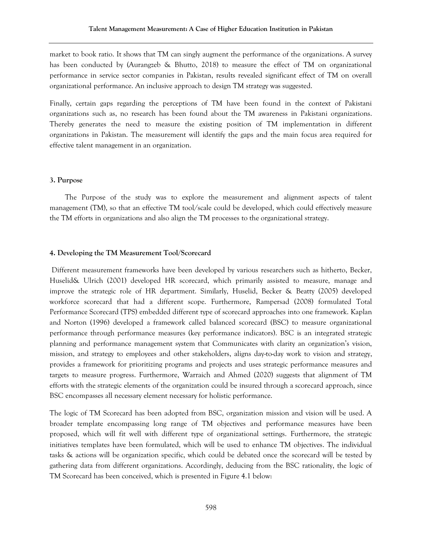market to book ratio. It shows that TM can singly augment the performance of the organizations. A survey has been conducted by (Aurangzeb & Bhutto, 2018) to measure the effect of TM on organizational performance in service sector companies in Pakistan, results revealed significant effect of TM on overall organizational performance. An inclusive approach to design TM strategy was suggested.

Finally, certain gaps regarding the perceptions of TM have been found in the context of Pakistani organizations such as, no research has been found about the TM awareness in Pakistani organizations. Thereby generates the need to measure the existing position of TM implementation in different organizations in Pakistan. The measurement will identify the gaps and the main focus area required for effective talent management in an organization.

#### **3. Purpose**

 The Purpose of the study was to explore the measurement and alignment aspects of talent management (TM), so that an effective TM tool/scale could be developed, which could effectively measure the TM efforts in organizations and also align the TM processes to the organizational strategy.

#### **4. Developing the TM Measurement Tool/Scorecard**

Different measurement frameworks have been developed by various researchers such as hitherto, Becker, Huselid& Ulrich (2001) developed HR scorecard, which primarily assisted to measure, manage and improve the strategic role of HR department. Similarly, Huselid, Becker & Beatty (2005) developed workforce scorecard that had a different scope. Furthermore, Rampersad (2008) formulated Total Performance Scorecard (TPS) embedded different type of scorecard approaches into one framework. Kaplan and Norton (1996) developed a framework called balanced scorecard (BSC) to measure organizational performance through performance measures (key performance indicators). BSC is an integrated strategic planning and performance management system that Communicates with clarity an organization's vision, mission, and strategy to employees and other stakeholders, aligns day-to-day work to vision and strategy, provides a framework for prioritizing programs and projects and uses strategic performance measures and targets to measure progress. Furthermore, Warraich and Ahmed (2020) suggests that alignment of TM efforts with the strategic elements of the organization could be insured through a scorecard approach, since BSC encompasses all necessary element necessary for holistic performance.

The logic of TM Scorecard has been adopted from BSC, organization mission and vision will be used. A broader template encompassing long range of TM objectives and performance measures have been proposed, which will fit well with different type of organizational settings. Furthermore, the strategic initiatives templates have been formulated, which will be used to enhance TM objectives. The individual tasks & actions will be organization specific, which could be debated once the scorecard will be tested by gathering data from different organizations. Accordingly, deducing from the BSC rationality, the logic of TM Scorecard has been conceived, which is presented in Figure 4.1 below: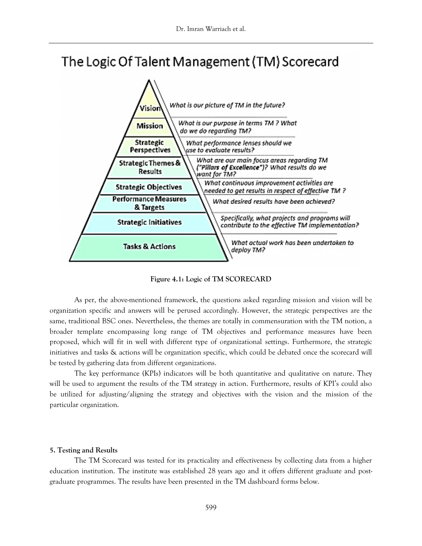# The Logic Of Talent Management (TM) Scorecard



**Figure 4.1: Logic of TM SCORECARD**

As per, the above-mentioned framework, the questions asked regarding mission and vision will be organization specific and answers will be perused accordingly. However, the strategic perspectives are the same, traditional BSC ones. Nevertheless, the themes are totally in commensuration with the TM notion, a broader template encompassing long range of TM objectives and performance measures have been proposed, which will fit in well with different type of organizational settings. Furthermore, the strategic initiatives and tasks & actions will be organization specific, which could be debated once the scorecard will be tested by gathering data from different organizations.

The key performance (KPIs) indicators will be both quantitative and qualitative on nature. They will be used to argument the results of the TM strategy in action. Furthermore, results of KPI's could also be utilized for adjusting/aligning the strategy and objectives with the vision and the mission of the particular organization.

### **5. Testing and Results**

The TM Scorecard was tested for its practicality and effectiveness by collecting data from a higher education institution. The institute was established 28 years ago and it offers different graduate and postgraduate programmes. The results have been presented in the TM dashboard forms below.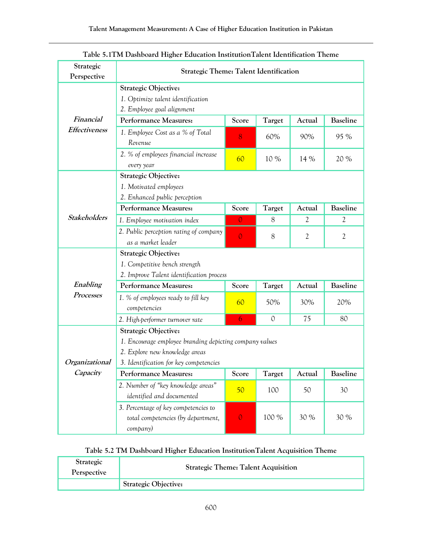| Strategic<br>Perspective | <b>Strategic Theme: Talent Identification</b>                                                                                                                      |                |               |                |                 |  |
|--------------------------|--------------------------------------------------------------------------------------------------------------------------------------------------------------------|----------------|---------------|----------------|-----------------|--|
|                          | <b>Strategic Objective:</b><br>1. Optimize talent identification<br>2. Employee goal alignment                                                                     |                |               |                |                 |  |
| Financial                | <b>Performance Measures:</b><br><b>Baseline</b><br>Score<br>Target<br>Actual                                                                                       |                |               |                |                 |  |
| <b>Effectiveness</b>     | 1. Employee Cost as a % of Total<br>Revenue                                                                                                                        | 8              | 60%           | 90%            | 95 %            |  |
|                          | 2. % of employees financial increase<br>every year                                                                                                                 | 60             | 10 %          | 14 %           | 20 %            |  |
|                          | <b>Strategic Objective:</b><br>1. Motivated employees<br>2. Enhanced public perception                                                                             |                |               |                |                 |  |
|                          | <b>Performance Measures:</b>                                                                                                                                       | Score          | Target        | Actual         | <b>Baseline</b> |  |
| <b>Stakeholders</b>      | 1. Employee motivation index                                                                                                                                       | $\mathbf{0}$   | 8             | 2              | 2               |  |
|                          | 2. Public perception rating of company<br>as a market leader                                                                                                       | $\overline{O}$ | 8             | $\mathfrak{2}$ | 2               |  |
|                          | <b>Strategic Objective:</b><br>1. Competitive bench strength<br>2. Improve Talent identification process                                                           |                |               |                |                 |  |
| Enabling                 | <b>Performance Measures:</b>                                                                                                                                       | Score          | Target        | Actual         | <b>Baseline</b> |  |
| Processes                | 1. % of employees ready to fill key<br>competencies                                                                                                                | 60             | 50%           | 30%            | 20%             |  |
|                          | 2. High-performer turnover rate                                                                                                                                    | 6              | $\mathcal{O}$ | 75             | 80              |  |
| Organizational           | <b>Strategic Objective:</b><br>1. Encourage employee branding depicting company values<br>2. Explore new knowledge areas<br>3. Identification for key competencies |                |               |                |                 |  |
| Capacity                 | Performance Measures:                                                                                                                                              | Score          | Target        | Actual         | <b>Baseline</b> |  |
|                          | 2. Number of "key knowledge areas"<br>identified and documented                                                                                                    | 50             | 100           | 50             | 30              |  |
|                          | 3. Percentage of key competencies to<br>total competencies (by department,<br>company)                                                                             | $\mathbf{0}$   | 100 %         | 30 %           | 30 %            |  |

| Table 5.1TM Dashboard Higher Education Institution Talent Identification Theme |  |  |  |
|--------------------------------------------------------------------------------|--|--|--|
|--------------------------------------------------------------------------------|--|--|--|

## **Table 5.2 TM Dashboard Higher Education InstitutionTalent Acquisition Theme**

| Strategic<br>Perspective | <b>Strategic Theme: Talent Acquisition</b> |
|--------------------------|--------------------------------------------|
|                          | <b>Strategic Objective:</b>                |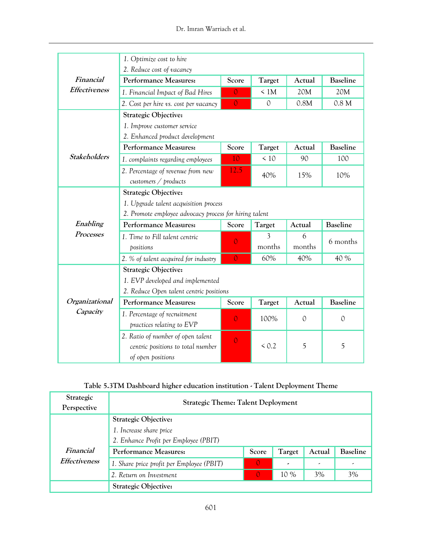|                      | 1. Optimize cost to hire                               |                |               |               |                  |  |
|----------------------|--------------------------------------------------------|----------------|---------------|---------------|------------------|--|
|                      | 2. Reduce cost of vacancy                              |                |               |               |                  |  |
| Financial            | <b>Performance Measures:</b>                           | Score          | Target        | Actual        | <b>Baseline</b>  |  |
| <b>Effectiveness</b> | 1. Financial Impact of Bad Hires                       | $\overline{O}$ | $\leq 1M$     | 20M           | 20M              |  |
|                      | 2. Cost per hire vs. cost per vacancy                  | $\overline{O}$ | $\mathcal{O}$ | 0.8M          | 0.8 <sub>M</sub> |  |
|                      | <b>Strategic Objective:</b>                            |                |               |               |                  |  |
|                      | 1. Improve customer service                            |                |               |               |                  |  |
|                      | 2. Enhanced product development                        |                |               |               |                  |  |
|                      | <b>Performance Measures:</b>                           | Score          | Target        | Actual        | <b>Baseline</b>  |  |
| <b>Stakeholders</b>  | 1. complaints regarding employees                      | 10             | $\leq 10$     | 90            | 100              |  |
|                      | 2. Percentage of revenue from new                      | 12.5           | 40%           | 15%           | 10%              |  |
|                      | customers / products                                   |                |               |               |                  |  |
|                      | <b>Strategic Objective:</b>                            |                |               |               |                  |  |
|                      | 1. Upgrade talent acquisition process                  |                |               |               |                  |  |
|                      | 2. Promote employee advocacy process for hiring talent |                |               |               |                  |  |
|                      |                                                        |                |               |               |                  |  |
| Enabling             | <b>Performance Measures:</b>                           | Score          | Target        | Actual        | <b>Baseline</b>  |  |
| Processes            | 1. Time to Fill talent centric                         |                | 3             | 6             |                  |  |
|                      | positions                                              | $\mathbf{0}$   | months        | months        | 6 months         |  |
|                      | 2. % of talent acquired for industry                   | $\overline{0}$ | 60%           | 40%           | 40 %             |  |
|                      | <b>Strategic Objective:</b>                            |                |               |               |                  |  |
|                      | 1. EVP developed and implemented                       |                |               |               |                  |  |
|                      | 2. Reduce Open talent centric positions                |                |               |               |                  |  |
| Organizational       | <b>Performance Measures:</b>                           | Score          | Target        | Actual        | <b>Baseline</b>  |  |
| Capacity             | 1. Percentage of recruitment                           |                |               |               |                  |  |
|                      | practices relating to EVP                              | $\overline{0}$ | 100%          | $\mathcal{O}$ | $\mathcal{O}$    |  |
|                      | 2. Ratio of number of open talent                      |                |               |               |                  |  |
|                      | centric positions to total number                      | $\overline{O}$ | < 0.2         | 5             | 5                |  |

| Table 5.3TM Dashboard higher education institution - Talent Deployment Theme |  |
|------------------------------------------------------------------------------|--|
|------------------------------------------------------------------------------|--|

| Strategic<br>Perspective | <b>Strategic Theme: Talent Deployment</b>                 |          |      |    |                 |
|--------------------------|-----------------------------------------------------------|----------|------|----|-----------------|
|                          | <b>Strategic Objective:</b>                               |          |      |    |                 |
|                          | 1. Increase share price                                   |          |      |    |                 |
|                          | 2. Enhance Profit per Employee (PBIT)                     |          |      |    |                 |
| Financial                | <b>Performance Measures:</b><br>Target<br>Score<br>Actual |          |      |    | <b>Baseline</b> |
| <b>Effectiveness</b>     | 1. Share price profit per Employee (PBIT)                 | $\Omega$ | ٠    | ٠  | ٠               |
|                          | 2. Return on Investment                                   | $\Omega$ | 10 % | 3% | 3%              |
|                          | <b>Strategic Objective:</b>                               |          |      |    |                 |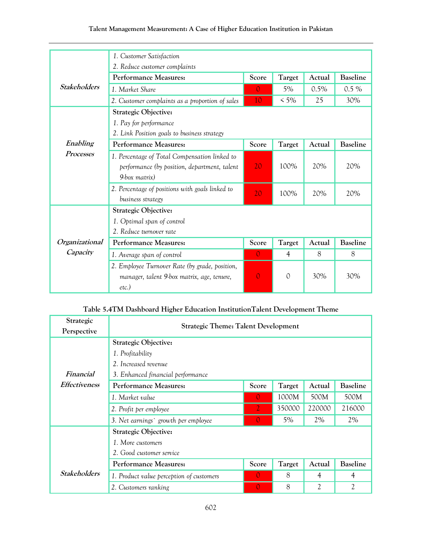## **Talent Management Measurement: A Case of Higher Education Institution in Pakistan**

|                     | 1. Customer Satisfaction                        |                |               |        |                 |
|---------------------|-------------------------------------------------|----------------|---------------|--------|-----------------|
|                     | 2. Reduce customer complaints                   |                |               |        |                 |
|                     | <b>Performance Measures:</b>                    | Score          | Target        | Actual | <b>Baseline</b> |
| <b>Stakeholders</b> | 1. Market Share                                 | $\Omega$       | 5%            | 0.5%   | $0.5\%$         |
|                     | 2. Customer complaints as a proportion of sales | 10             | $< 5\%$       | 25     | 30%             |
|                     | <b>Strategic Objective:</b>                     |                |               |        |                 |
|                     | 1. Pay for performance                          |                |               |        |                 |
|                     | 2. Link Position goals to business strategy     |                |               |        |                 |
| Enabling            | <b>Performance Measures:</b>                    | Score          | <b>Target</b> | Actual | <b>Baseline</b> |
| Processes           | 1. Percentage of Total Compensation linked to   |                |               |        |                 |
|                     | performance (by position, department, talent    | 20             | 100%          | 20%    | 20%             |
|                     | $9$ -box matrix)                                |                |               |        |                 |
|                     | 2. Percentage of positions with goals linked to | 20             | 100%          | 20%    | 20%             |
|                     | business strategy                               |                |               |        |                 |
|                     | <b>Strategic Objective:</b>                     |                |               |        |                 |
|                     | 1. Optimal span of control                      |                |               |        |                 |
|                     | 2. Reduce turnover rate                         |                |               |        |                 |
| Organizational      | <b>Performance Measures:</b>                    | Score          | Target        | Actual | <b>Baseline</b> |
| Capacity            | 1. Average span of control                      | $\Omega$       | 4             | 8      | 8               |
|                     | 2. Employee Turnover Rate (by grade, position,  |                |               |        |                 |
|                     | manager, talent 9-box matrix, age, tenure,      | $\overline{0}$ | 0             | 30%    | 30%             |
|                     | $etc.$ )                                        |                |               |        |                 |

## **Table 5.4TM Dashboard Higher Education InstitutionTalent Development Theme**

| Strategic            | <b>Strategic Theme: Talent Development</b> |          |        |                |                 |
|----------------------|--------------------------------------------|----------|--------|----------------|-----------------|
| Perspective          |                                            |          |        |                |                 |
|                      | <b>Strategic Objective:</b>                |          |        |                |                 |
|                      | 1. Profitability                           |          |        |                |                 |
|                      | 2. Increased revenue                       |          |        |                |                 |
| Financial            | 3. Enhanced financial performance          |          |        |                |                 |
| <i>Effectiveness</i> | Performance Measures:                      | Score    | Target | Actual         | Baseline        |
|                      | 1. Market value                            | $\Omega$ | 1000M  | 500M           | 500M            |
|                      | 2. Profit per employee                     | 2        | 350000 | 220000         | 216000          |
|                      | 3. Net earnings` growth per employee       |          | 5%     | 2%             | 2%              |
|                      | <b>Strategic Objective:</b>                |          |        |                |                 |
|                      | 1. More customers                          |          |        |                |                 |
|                      | 2. Good customer service                   |          |        |                |                 |
|                      | <b>Performance Measures:</b>               | Score    | Target | Actual         | <b>Baseline</b> |
| <b>Stakeholders</b>  | 1. Product value perception of customers   | $\Omega$ | 8      | $\overline{4}$ | 4               |
|                      | 2. Customers ranking                       | $\Omega$ | 8      | $\overline{2}$ | 2               |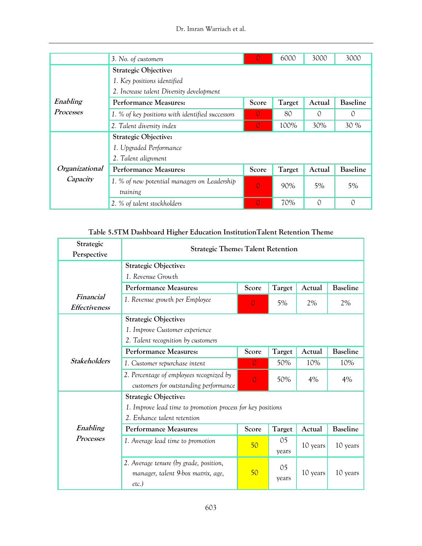|                | 3. No. of customers                              | $\cup$         | 6000   | 3000             | 3000            |
|----------------|--------------------------------------------------|----------------|--------|------------------|-----------------|
|                | <b>Strategic Objective:</b>                      |                |        |                  |                 |
|                | 1. Key positions identified                      |                |        |                  |                 |
|                | 2. Increase talent Diversity development         |                |        |                  |                 |
| Enabling       | <b>Performance Measures:</b>                     | Score          | Target | Actual           | <b>Baseline</b> |
| Processes      | 1. % of key positions with identified successors | $\Omega$       | 80     | $\left( \right)$ | $\circ$         |
|                | 2. Talent diversity index                        | $\Omega$       | 100%   | 30%              | 30 %            |
|                | <b>Strategic Objective:</b>                      |                |        |                  |                 |
|                | 1. Upgraded Performance                          |                |        |                  |                 |
|                | 2. Talent alignment                              |                |        |                  |                 |
| Organizational | Performance Measures:                            | Score          | Target | Actual           | <b>Baseline</b> |
| Capacity       | 1. % of new potential managers on Leadership     | $\overline{0}$ | 90%    | 5%               | 5%              |
|                | training                                         |                |        |                  |                 |
|                | 2. % of talent stockholders                      | $\Omega$       | 70%    | 0                | $\Omega$        |

## **Table 5.5TM Dashboard Higher Education InstitutionTalent Retention Theme**

| Strategic<br>Perspective          | <b>Strategic Theme: Talent Retention</b>                                                 |                |                         |          |                 |
|-----------------------------------|------------------------------------------------------------------------------------------|----------------|-------------------------|----------|-----------------|
|                                   | <b>Strategic Objective:</b>                                                              |                |                         |          |                 |
|                                   | 1. Revenue Growth                                                                        |                |                         |          |                 |
|                                   | <b>Performance Measures:</b>                                                             | Score          | <b>Target</b>           | Actual   | <b>Baseline</b> |
| Financial<br><b>Effectiveness</b> | 1. Revenue growth per Employee                                                           | $\Omega$       | 5%                      | 2%       | 2%              |
|                                   | <b>Strategic Objective:</b>                                                              |                |                         |          |                 |
|                                   | 1. Improve Customer experience                                                           |                |                         |          |                 |
|                                   | 2. Talent recognition by customers                                                       |                |                         |          |                 |
|                                   | <b>Performance Measures:</b>                                                             | Score          | <b>Target</b>           | Actual   | <b>Baseline</b> |
| <b>Stakeholders</b>               | 1. Customer repurchase intent                                                            | $\Omega$       | 50%                     | 10%      | 10%             |
|                                   | 2. Percentage of employees recognized by<br>customers for outstanding performance        | $\overline{O}$ | 50%                     | 4%       | 4%              |
|                                   | <b>Strategic Objective:</b>                                                              |                |                         |          |                 |
|                                   | 1. Improve lead time to promotion process for key positions                              |                |                         |          |                 |
|                                   | 2. Enhance talent retention                                                              |                |                         |          |                 |
| Enabling                          | <b>Performance Measures:</b>                                                             | Score          | Target                  | Actual   | <b>Baseline</b> |
| Processes                         | 1. Average lead time to promotion                                                        | 50             | 05<br>years             | 10 years | 10 years        |
|                                   | 2. Average tenure (by grade, position,<br>manager, talent 9-box matrix, age,<br>$etc.$ ) | 50             | 0 <sub>5</sub><br>years | 10 years | 10 years        |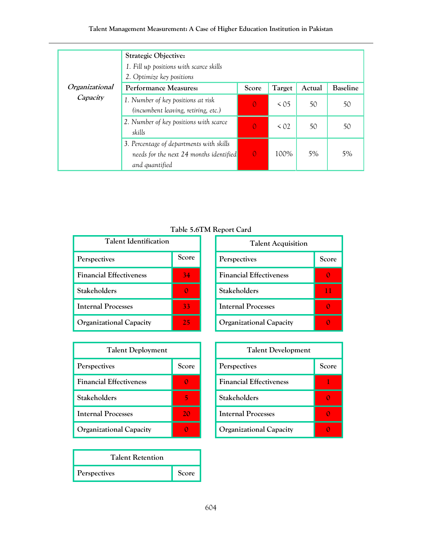## **Talent Management Measurement: A Case of Higher Education Institution in Pakistan**

|                | <b>Strategic Objective:</b><br>1. Fill up positions with scarce skills<br>2. Optimize key positions   |              |           |        |                 |
|----------------|-------------------------------------------------------------------------------------------------------|--------------|-----------|--------|-----------------|
| Organizational | Performance Measures:                                                                                 | Score        | Target    | Actual | <b>Baseline</b> |
| Capacity       | 1. Number of key positions at risk<br>(incumbent leaving, retiring, etc.)                             | $\Omega$     | $\leq$ 05 | 50     | 50              |
|                | 2. Number of key positions with scarce<br>skills                                                      | $\Omega$     | $\leq 02$ | 50     | 50              |
|                | 3. Percentage of departments with skills<br>needs for the next 24 months identified<br>and quantified | $\mathbf{0}$ | 100%      | 5%     | 5%              |

**Table 5.6TM Report Card**

| <b>Talent Identification</b>   |       |  |  |  |
|--------------------------------|-------|--|--|--|
| Perspectives                   | Score |  |  |  |
| <b>Financial Effectiveness</b> | 34    |  |  |  |
| Stakeholders                   |       |  |  |  |
| <b>Internal Processes</b>      | 33    |  |  |  |
| <b>Organizational Capacity</b> | 25    |  |  |  |

| <b>Talent Deployment</b>       |       |  |
|--------------------------------|-------|--|
| Perspectives                   | Score |  |
| <b>Financial Effectiveness</b> |       |  |
| Stakeholders                   |       |  |
| Internal Processes             | 20    |  |
| <b>Organizational Capacity</b> |       |  |

| <b>Talent Retention</b> |       |
|-------------------------|-------|
| Perspectives            | Score |

| <b>Talent Acquisition</b>      |       |  |
|--------------------------------|-------|--|
| Perspectives                   | Score |  |
| <b>Financial Effectiveness</b> |       |  |
| <b>Stakeholders</b>            | 11    |  |
| <b>Internal Processes</b>      |       |  |
| <b>Organizational Capacity</b> |       |  |

| <b>Talent Development</b>      |       |  |
|--------------------------------|-------|--|
| Perspectives                   | Score |  |
| <b>Financial Effectiveness</b> |       |  |
| <b>Stakeholders</b>            |       |  |
| <b>Internal Processes</b>      |       |  |
| Organizational Capacity        |       |  |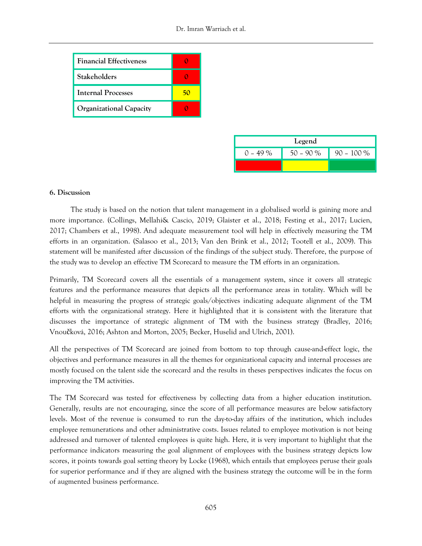| <b>Financial Effectiveness</b> |    |
|--------------------------------|----|
| <b>Stakeholders</b>            |    |
| Internal Processes             | 50 |
| <b>Organizational Capacity</b> |    |

| Legend |             |              |  |
|--------|-------------|--------------|--|
| - 49 % | $50 - 90 %$ | $90 - 100\%$ |  |
|        |             |              |  |

#### **6. Discussion**

 The study is based on the notion that talent management in a globalised world is gaining more and more importance. (Collings, Mellahi& Cascio, 2019; Glaister et al., 2018; Festing et al., 2017; Lucien, 2017; Chambers et al., 1998). And adequate measurement tool will help in effectively measuring the TM efforts in an organization. (Salasoo et al., 2013; Van den Brink et al., 2012; Tootell et al., 2009). This statement will be manifested after discussion of the findings of the subject study. Therefore, the purpose of the study was to develop an effective TM Scorecard to measure the TM efforts in an organization.

Primarily, TM Scorecard covers all the essentials of a management system, since it covers all strategic features and the performance measures that depicts all the performance areas in totality. Which will be helpful in measuring the progress of strategic goals/objectives indicating adequate alignment of the TM efforts with the organizational strategy. Here it highlighted that it is consistent with the literature that discusses the importance of strategic alignment of TM with the business strategy (Bradley, 2016; Vnoučková, 2016; Ashton and Morton, 2005; Becker, Huselid and Ulrich, 2001).

All the perspectives of TM Scorecard are joined from bottom to top through cause-and-effect logic, the objectives and performance measures in all the themes for organizational capacity and internal processes are mostly focused on the talent side the scorecard and the results in theses perspectives indicates the focus on improving the TM activities.

The TM Scorecard was tested for effectiveness by collecting data from a higher education institution. Generally, results are not encouraging, since the score of all performance measures are below satisfactory levels. Most of the revenue is consumed to run the day-to-day affairs of the institution, which includes employee remunerations and other administrative costs. Issues related to employee motivation is not being addressed and turnover of talented employees is quite high. Here, it is very important to highlight that the performance indicators measuring the goal alignment of employees with the business strategy depicts low scores, it points towards goal setting theory by Locke (1968), which entails that employees peruse their goals for superior performance and if they are aligned with the business strategy the outcome will be in the form of augmented business performance.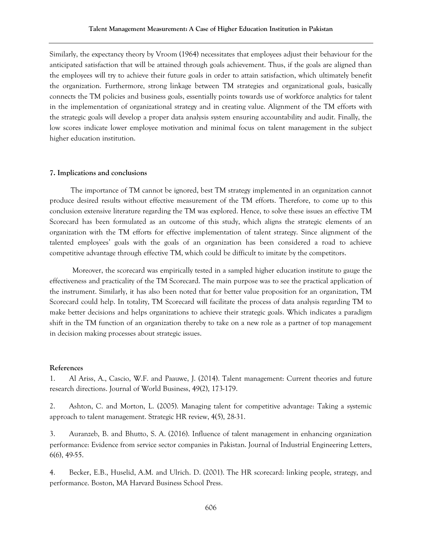Similarly, the expectancy theory by Vroom (1964) necessitates that employees adjust their behaviour for the anticipated satisfaction that will be attained through goals achievement. Thus, if the goals are aligned than the employees will try to achieve their future goals in order to attain satisfaction, which ultimately benefit the organization. Furthermore, strong linkage between TM strategies and organizational goals, basically connects the TM policies and business goals, essentially points towards use of workforce analytics for talent in the implementation of organizational strategy and in creating value. Alignment of the TM efforts with the strategic goals will develop a proper data analysis system ensuring accountability and audit. Finally, the low scores indicate lower employee motivation and minimal focus on talent management in the subject higher education institution.

#### **7. Implications and conclusions**

 The importance of TM cannot be ignored, best TM strategy implemented in an organization cannot produce desired results without effective measurement of the TM efforts. Therefore, to come up to this conclusion extensive literature regarding the TM was explored. Hence, to solve these issues an effective TM Scorecard has been formulated as an outcome of this study, which aligns the strategic elements of an organization with the TM efforts for effective implementation of talent strategy. Since alignment of the talented employees' goals with the goals of an organization has been considered a road to achieve competitive advantage through effective TM, which could be difficult to imitate by the competitors.

 Moreover, the scorecard was empirically tested in a sampled higher education institute to gauge the effectiveness and practicality of the TM Scorecard. The main purpose was to see the practical application of the instrument. Similarly, it has also been noted that for better value proposition for an organization, TM Scorecard could help. In totality, TM Scorecard will facilitate the process of data analysis regarding TM to make better decisions and helps organizations to achieve their strategic goals. Which indicates a paradigm shift in the TM function of an organization thereby to take on a new role as a partner of top management in decision making processes about strategic issues.

#### **References**

1. Al Ariss, A., Cascio, W.F. and Paauwe, J. (2014). Talent management: Current theories and future research directions. Journal of World Business, 49(2), 173-179.

2. Ashton, C. and Morton, L. (2005). Managing talent for competitive advantage: Taking a systemic approach to talent management. Strategic HR review, 4(5), 28-31.

3. Auranzeb, B. and Bhutto, S. A. (2016). Influence of talent management in enhancing organization performance: Evidence from service sector companies in Pakistan. Journal of Industrial Engineering Letters, 6(6), 49-55.

4. Becker, E.B., Huselid, A.M. and Ulrich. D. (2001). The HR scorecard: linking people, strategy, and performance. Boston, MA Harvard Business School Press.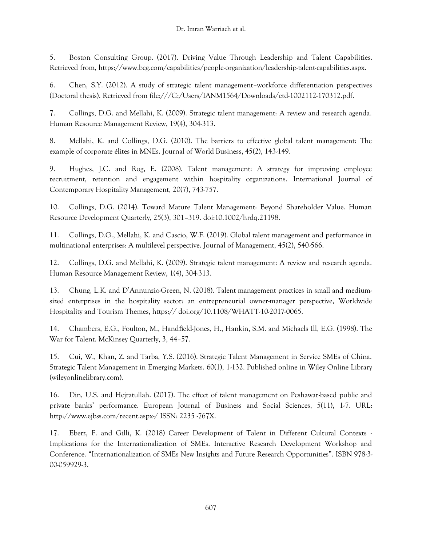5. Boston Consulting Group. (2017). Driving Value Through Leadership and Talent Capabilities. Retrieved from, https://www.bcg.com/capabilities/people-organization/leadership-talent-capabilities.aspx.

6. Chen, S.Y. (2012). A study of strategic talent management–workforce differentiation perspectives (Doctoral thesis). Retrieved from file:///C:/Users/IANM1564/Downloads/etd-1002112-170312.pdf.

7. Collings, D.G. and Mellahi, K. (2009). Strategic talent management: A review and research agenda. Human Resource Management Review, 19(4), 304-313.

8. Mellahi, K. and Collings, D.G. (2010). The barriers to effective global talent management: The example of corporate élites in MNEs. Journal of World Business, 45(2), 143-149.

9. Hughes, J.C. and Rog, E. (2008). Talent management: A strategy for improving employee recruitment, retention and engagement within hospitality organizations. International Journal of Contemporary Hospitality Management, 20(7), 743-757.

10. Collings, D.G. (2014). Toward Mature Talent Management: Beyond Shareholder Value. Human Resource Development Quarterly, 25(3), 301–319. doi:10.1002/hrdq.21198.

11. Collings, D.G., Mellahi, K. and Cascio, W.F. (2019). Global talent management and performance in multinational enterprises: A multilevel perspective. Journal of Management, 45(2), 540-566.

12. Collings, D.G. and Mellahi, K. (2009). Strategic talent management: A review and research agenda. Human Resource Management Review, 1(4), 304-313.

13. Chung, L.K. and D'Annunzio-Green, N. (2018). Talent management practices in small and mediumsized enterprises in the hospitality sector: an entrepreneurial owner-manager perspective, Worldwide Hospitality and Tourism Themes, https:// doi.org/10.1108/WHATT-10-2017-0065.

14. Chambers, E.G., Foulton, M., Handfield-Jones, H., Hankin, S.M. and Michaels Ill, E.G. (1998). The War for Talent. McKinsey Quarterly, 3, 44–57.

15. Cui, W., Khan, Z. and Tarba, Y.S. (2016). Strategic Talent Management in Service SMEs of China. Strategic Talent Management in Emerging Markets. 60(1), 1-132. Published online in Wiley Online Library (wileyonlinelibrary.com).

16. Din, U.S. and Hejratullah. (2017). The effect of talent management on Peshawar-based public and private banks' performance. European Journal of Business and Social Sciences, 5(11), 1-7. URL: http://www.ejbss.com/recent.aspx-/ ISSN: 2235 -767X.

17. Eberz, F. and Gilli, K. (2018) Career Development of Talent in Different Cultural Contexts - Implications for the Internationalization of SMEs. Interactive Research Development Workshop and Conference. "Internationalization of SMEs New Insights and Future Research Opportunities". ISBN 978-3- 00-059929-3.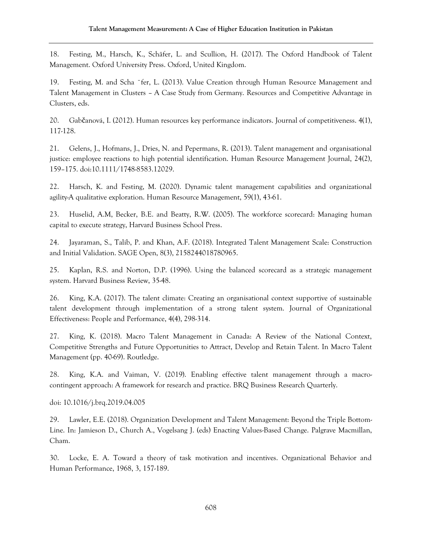18. Festing, M., Harsch, K., Schäfer, L. and Scullion, H. (2017). The Oxford Handbook of Talent Management. Oxford University Press. Oxford, United Kingdom.

19. Festing, M. and Scha ¨fer, L. (2013). Value Creation through Human Resource Management and Talent Management in Clusters – A Case Study from Germany. Resources and Competitive Advantage in Clusters, eds.

20. Gabčanová, I. (2012). Human resources key performance indicators. Journal of competitiveness. 4(1), 117-128.

21. Gelens, J., Hofmans, J., Dries, N. and Pepermans, R. (2013). Talent management and organisational justice: employee reactions to high potential identification. Human Resource Management Journal, 24(2), 159–175. doi:10.1111/1748-8583.12029.

22. Harsch, K. and Festing, M. (2020). Dynamic talent management capabilities and organizational agility-A qualitative exploration. Human Resource Management, 59(1), 43-61.

23. Huselid, A.M, Becker, B.E. and Beatty, R.W. (2005). The workforce scorecard: Managing human capital to execute strategy, Harvard Business School Press.

24. Jayaraman, S., Talib, P. and Khan, A.F. (2018). Integrated Talent Management Scale: Construction and Initial Validation. SAGE Open, 8(3), 2158244018780965.

25. Kaplan, R.S. and Norton, D.P. (1996). Using the balanced scorecard as a strategic management system. Harvard Business Review, 35-48.

26. King, K.A. (2017). The talent climate: Creating an organisational context supportive of sustainable talent development through implementation of a strong talent system. Journal of Organizational Effectiveness: People and Performance, 4(4), 298-314.

27. King, K. (2018). Macro Talent Management in Canada: A Review of the National Context, Competitive Strengths and Future Opportunities to Attract, Develop and Retain Talent. In Macro Talent Management (pp. 40-69). Routledge.

28. King, K.A. and Vaiman, V. (2019). Enabling effective talent management through a macrocontingent approach: A framework for research and practice. BRQ Business Research Quarterly.

doi: 10.1016/j.brq.2019.04.005

29. Lawler, E.E. (2018). Organization Development and Talent Management: Beyond the Triple Bottom-Line. In: Jamieson D., Church A., Vogelsang J. (eds) Enacting Values-Based Change. Palgrave Macmillan, Cham.

30. Locke, E. A. Toward a theory of task motivation and incentives. Organizational Behavior and Human Performance, 1968, 3, 157-189.